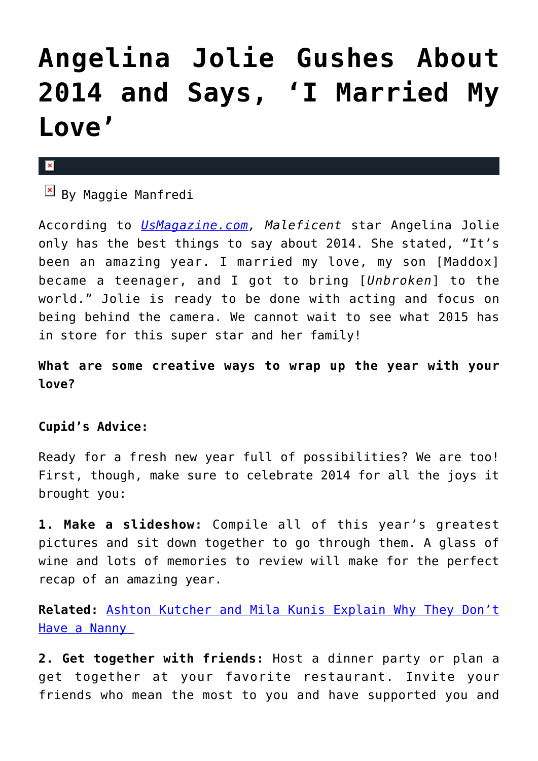## **[Angelina Jolie Gushes About](https://cupidspulse.com/84194/angelina-jolie-gushes-about-2014/) [2014 and Says, 'I Married My](https://cupidspulse.com/84194/angelina-jolie-gushes-about-2014/) [Love'](https://cupidspulse.com/84194/angelina-jolie-gushes-about-2014/)**

## $\mathbf{x}$

 $\overline{B}$  By Maggie Manfredi

According to *[UsMagazine.com,](http://www.usmagazine.com/celebrity-news/news/angelina-jolie-reflects-on-2014-gushes-i-married-my-love-20141312) Maleficent* star Angelina Jolie only has the best things to say about 2014. She stated, "It's been an amazing year. I married my love, my son [Maddox] became a teenager, and I got to bring [*Unbroken*] to the world." Jolie is ready to be done with acting and focus on being behind the camera. We cannot wait to see what 2015 has in store for this super star and her family!

**What are some creative ways to wrap up the year with your love?** 

## **Cupid's Advice:**

Ready for a fresh new year full of possibilities? We are too! First, though, make sure to celebrate 2014 for all the joys it brought you:

**1. Make a slideshow:** Compile all of this year's greatest pictures and sit down together to go through them. A glass of wine and lots of memories to review will make for the perfect recap of an amazing year.

**Related:** [Ashton Kutcher and Mila Kunis Explain Why They Don't](http://cupidspulse.com/84176/ashton-kutcher-mila-kunis-explain-no-nanny/) [Have a Nanny](http://cupidspulse.com/84176/ashton-kutcher-mila-kunis-explain-no-nanny/) 

**2. Get together with friends:** Host a dinner party or plan a get together at your favorite restaurant. Invite your friends who mean the most to you and have supported you and